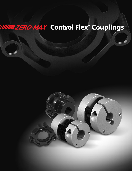# **ININI ZERO-MAX Control Flex® Couplings**

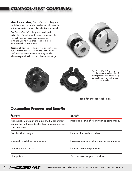# *CONTROL-FLEX® COUPLINGS*

**Ideal for encoders**, Control-Flex® Couplings are available with clamp-style zero backlash hubs or in a drop-out design for easy flexible disc changeout.

The Control-Flex® Coupling was developed to satisfy today's higher performance requirements. To meet this goal, Zero-Max engineered a unique Control-Flex® Disc which is based on a parallel linkage system.

Because of this unique design, the reaction forces due to transmission of torque and unavoidable shaft misalignments are considerably smaller when compared with common flexible couplings.







The Control-Flex® Disc allows parallel, angular and axial shaft misalignments, and maintaining constant transmission of torque and angular velocity.

Ideal for Encoder Applications!

# **Outstanding Features and Benefits**

| Feature                                                                                                                           | <b>Benefit</b>                                  |
|-----------------------------------------------------------------------------------------------------------------------------------|-------------------------------------------------|
| High parallel, angular and axial shaft misalignment<br>capabilities with considerably less sideloads on shaft<br>bearings, seals. | Increases lifetime of other machine components. |
| Zero backlash design.                                                                                                             | Required for precision drives.                  |
| Electrically insulating flex element.                                                                                             | Increases lifetime of other machine components. |
| Low weight and inertia.                                                                                                           | Reduced power requirements.                     |
| Clamp-Style.                                                                                                                      | Zero backlash for precision drives.             |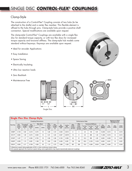# SINGLE DISC *CONTROL-FLEX® COUPLINGS*

# Clamp-Style

The construction of a Control-Flex® Coupling consists of two hubs (to be attached to the shafts) and a center flex member. This flexible element is affixed to the hubs through pins. Clamp-style hubs provide a positive shaft connection. Special modifications are available upon request.

The clamp-style Control-Flex® Couplings are available with a single flex disc for standard torque capacity, or with two flex discs for increased torque capacity and torsional stiffness. The clamp-style hub models come standard without keyways. Keyways are available upon request.

- Ideal for encoder Applications
- Easy Installation
- Space Saving
- Electrically Insulating
- Ultra low reaction loads
- Zero Backlash
- Maintenance Free



Single Disc





|          |                                  | <b>Single Flex Disc Clamp-Style</b>                                                                                                                                                          |                        |        |          |                                  |                        |                |                               |                             |                             |                            |                          |                         |                |               |                                       |                 |  |
|----------|----------------------------------|----------------------------------------------------------------------------------------------------------------------------------------------------------------------------------------------|------------------------|--------|----------|----------------------------------|------------------------|----------------|-------------------------------|-----------------------------|-----------------------------|----------------------------|--------------------------|-------------------------|----------------|---------------|---------------------------------------|-----------------|--|
|          |                                  | <b>Coupling Dimensions</b>                                                                                                                                                                   |                        |        |          |                                  |                        |                | Performance Data              |                             |                             |                            |                          |                         |                |               | Maximum Shaft<br><b>Misalignments</b> |                 |  |
| Part No. | CPL.                             | Coupling                                                                                                                                                                                     | Hub                    |        | Max Bore | <b>Disc</b><br>Inside            | <b>Disc</b>            | <b>Net</b>     | Inertia                       | Max.                        | Max.<br>Cont.               | <b>Torsional Stiffness</b> |                          |                         | Max            |               |                                       |                 |  |
|          | Diam<br>(Inch)<br>D <sub>2</sub> | Length<br>(Inch)                                                                                                                                                                             | Length<br>(Inch)<br>L1 | (Inch) | (mm)     | Diam<br>(Inch)<br>D <sub>4</sub> | Length<br>(Inch)<br>L2 | Weight<br>(Lb) | WK <sup>2</sup><br>$(Lb-ln2)$ | Peak<br>Torque<br>$(In-Lb)$ | Peak<br>Torque<br>$(In-Lb)$ | In Lbs.<br>Per<br>Degree   | In Lbs.<br>Per<br>Radian | In Oz.<br>Per<br>Minute | Speed<br>(RPM) | Par<br>(Inch) | Ang<br>$($ Deg $)$                    | Axial<br>(Inch) |  |
| C008P    | 0.748                            | 0.62                                                                                                                                                                                         | 0.219                  | 0.375  | 10       | 0.28                             | 0.19                   | 0.020          | 0.0014                        | 6                           |                             | 2.3                        | 130                      | 0.61                    | 12,000         | 0.013         | 1.5                                   | 0.010           |  |
| C011P    | 0.984                            | 1.00                                                                                                                                                                                         | 0.374                  | 0.500  | 12       | 0.31                             | 0.25                   | 0.057          | 0.0075                        | 13                          | 9                           | 5.0                        | 285                      | 1.33                    | 11.000         | 0.019         | 1.5                                   | 0.014           |  |
| C016P    | 1.457                            | 1.17                                                                                                                                                                                         | 0.394                  | 0.750  | 19       | 0.56                             | 0.38                   | 0.135          | 0.038                         | 45                          | 31                          | 16.3                       | 930                      | 4.35                    | 8,000          | 0.028         | 1.5                                   | 0.021           |  |
| C023P    | 2.205                            | 1.74                                                                                                                                                                                         | 0.591                  | 1.188  | 30       | 0.84                             | 0.56                   | 0.450          | 0.291                         | 152                         | 106                         | 55.0                       | 3,150                    | 14.29                   | 6,000          | 0.041         | 1.5                                   | 0.031           |  |
| C031P    | 2.953                            | 2.17                                                                                                                                                                                         | 0.709                  | 1.500  | 40       | 1.13                             | 0.75                   | 1.060          | 1.220                         | 361                         | 250                         | 75.0                       | 4,300                    | 20.00                   | 5,000          | 0.055         | 1.5                                   | 0.042           |  |
|          |                                  | 1) Maximum speed rating applicable at 50% or less continuous torque rating.<br>2) As speeds approach the maximum speed rating, some applications may require dynamically balanced couplings. |                        |        |          |                                  |                        |                |                               |                             |                             |                            |                          |                         |                |               |                                       |                 |  |



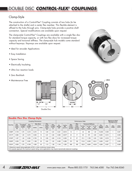# DOUBLE DISC *CONTROL-FLEX® COUPLINGS*

# Clamp-Style

The construction of a Control-Flex® Coupling consists of two hubs (to be attached to the shafts) and a center flex member. This flexible element is affixed to the hubs through pins. Clamp-style hubs provide a positive shaft connection. Special modifications are available upon request.

The clamp-style Control-Flex® Couplings are available with a single flex disc for standard torque capacity, or with two flex discs for increased torque capacity and torsional stiffness. The clamp-style hub models come standard without keyways. Keyways are available upon request.

- Ideal for encoder Applications
- Easy Installation
- Space Saving
- Electrically Insulating
- Ultra low reaction loads
- Zero Backlash
- Maintenance Free







|          | <b>Double Flex Disc Clamp-Style</b> |                                                                                                                                                                                              |                  |        |          |                                  |                        |                  |                               |                             |                                      |                          |                            |                         |                |                                              |                    |                 |
|----------|-------------------------------------|----------------------------------------------------------------------------------------------------------------------------------------------------------------------------------------------|------------------|--------|----------|----------------------------------|------------------------|------------------|-------------------------------|-----------------------------|--------------------------------------|--------------------------|----------------------------|-------------------------|----------------|----------------------------------------------|--------------------|-----------------|
|          | <b>Coupling Dimensions</b>          |                                                                                                                                                                                              |                  |        |          |                                  |                        | Performance Data |                               |                             |                                      |                          |                            |                         |                | <b>Maximum Shaft</b><br><b>Misalignments</b> |                    |                 |
| Part No. | CPL.                                | Coupling                                                                                                                                                                                     | Hub              |        | Max Bore | <b>Disc</b><br>Inside            | <b>Disc</b>            | <b>Net</b>       | Inertia                       | Max.                        | Max.                                 |                          | <b>Torsional Stiffness</b> |                         | Max            |                                              | Ang<br>$($ Deg $)$ | Axial<br>(Inch) |
|          | Diam<br>(Inch)<br>D <sub>2</sub>    | Length<br>(Inch)                                                                                                                                                                             | Length<br>(Inch) | (Inch) | (mm)     | Diam<br>(Inch)<br>D <sub>4</sub> | Length<br>(Inch)<br>12 | Weight<br>(Lb)   | WK <sup>2</sup><br>$(Lb-ln2)$ | Peak<br>Torque<br>$(In-Lb)$ | Cont.<br>Peak<br>Torque<br>$(In-Lb)$ | In Lbs.<br>Per<br>Degree | In Lbs.<br>Per<br>Radian   | In Oz.<br>Per<br>Minute | Speed<br>(RPM) | Par<br>(Inch)                                |                    |                 |
| C208P    | 0.748                               | 0.78                                                                                                                                                                                         | 0.219            | 0.375  | 10       | 0.28                             | 0.34                   | 0.021            | 0.0014                        | 10                          |                                      | 4.6                      | 260                        | 1.22                    | 10,000         | 0.009                                        |                    | 0.007           |
| C211P    | 0.984                               | 1.20                                                                                                                                                                                         | 0.374            | 0.500  | 12       | 0.31                             | 0.46                   | 0.060            | 0.0077                        | 24                          | 17                                   | 9.9                      | 570                        | 2.63                    | 9,000          | 0.012                                        |                    | 0.009           |
| C216P    | 1.457                               | 1.48                                                                                                                                                                                         | 0.394            | 0.750  | 19       | 0.56                             | 0.69                   | 0.145            | 0.039                         | 81                          | 57                                   | 31.3                     | 1,790                      | 8.33                    | 7,000          | 0.019                                        |                    | 0.014           |
| C223P    | 2.205                               | 2.20                                                                                                                                                                                         | 0.591            | 1.188  | 30       | 0.84                             | 1.02                   | 0.483            | 0.298                         | 274                         | 192                                  | 110.0                    | 6,300                      | 29.41                   | 5,000          | 0.027                                        |                    | 0.020           |
| C231P    | 2.953                               | 2.79                                                                                                                                                                                         | 0.709            | 1.500  | 40       | 1.13                             | 1.38                   | 1.140            | 1.250                         | 650                         | 435                                  | 150.0                    | 8,600                      | 40.00                   | 4,000          | 0.037                                        |                    | 0.028           |
|          |                                     | 1) Maximum speed rating applicable at 50% or less continuous torque rating.<br>2) As speeds approach the maximum speed rating, some applications may require dynamically balanced couplings. |                  |        |          |                                  |                        |                  |                               |                             |                                      |                          |                            |                         |                |                                              |                    |                 |

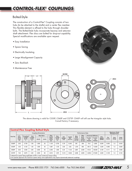# *CONTROL-FLEX® COUPLINGS*

# Bolted-Style

The construction of a Control-Flex® Coupling consists of two hubs (to be attached to the shafts) and a center flex member. This flexible element is affixed to the hubs through shoulder bolts. The Bolted-Style hubs incorporate keyway and setscrew shaft attachment. Flex discs are bolted for drop-out capability. Special modifications are available upon request.

- Easy Installation
- Space Saving
- Electrically Insulating
- Large Misalignment Capacity
- Zero Backlash
- Maintenance Free





The above drawing is valid for C030P, C060P and C075P. C045P will still use the triangular style hubs. Consult factory if necessary.

|          | <b>Control-Flex Coupling Bolted-Style</b>                                                                                                                                                    |                  |                        |        |          |                                  |                        |                  |                               |                             |                             |                          |                            |                |               |                                              |                 |  |
|----------|----------------------------------------------------------------------------------------------------------------------------------------------------------------------------------------------|------------------|------------------------|--------|----------|----------------------------------|------------------------|------------------|-------------------------------|-----------------------------|-----------------------------|--------------------------|----------------------------|----------------|---------------|----------------------------------------------|-----------------|--|
|          | <b>Coupling Dimensions</b>                                                                                                                                                                   |                  |                        |        |          |                                  |                        | Performance Data |                               |                             |                             |                          |                            |                |               | <b>Maximum Shaft</b><br><b>Misalignments</b> |                 |  |
| Part No. | CPL.                                                                                                                                                                                         | Coupling         | Hub                    |        | Max Bore | <b>Disc</b><br>Inside            | <b>Disc</b>            | <b>Net</b>       | Inertia                       | Max.                        | Max.<br>Cont.               |                          | <b>Torsional Stiffness</b> | Max            |               | Ang<br>$($ Deg $)$                           |                 |  |
|          | Diam<br>(Inch)<br>D <sub>2</sub>                                                                                                                                                             | Length<br>(Inch) | Length<br>(Inch)<br>L1 | (Inch) | (mm)     | Diam<br>(Inch)<br>D <sub>4</sub> | Length<br>(Inch)<br>L2 | Weight<br>(Lb)   | WK <sup>2</sup><br>$(Lb-ln2)$ | Peak<br>Torque<br>$(In-Lb)$ | Peak<br>Torque<br>$(In-Lb)$ | In Lbs.<br>Per<br>Degree | In Lbs.<br>Per<br>Radian   | Speed<br>(RPM) | Par<br>(Inch) |                                              | Axial<br>(Inch) |  |
| C030P    | 3.00                                                                                                                                                                                         | 2.750            | 1.00                   | 1.000  | 25       | 1.125                            | 0.750                  | 0.78             | 0.345                         | 361                         | 250                         | 75.0                     | 4,300                      | 6,300          | 0.055         | 1.5                                          | 0.042           |  |
| C045P    | 4.50                                                                                                                                                                                         | 4.125            | 1.50                   | 1.500  | 40       | 1.687                            | 1.125                  | 2.63             | 2.62                          | 1,218                       | 850                         | 261.0                    | 14,950                     | 4,200          | 0.083         | 1.5                                          | 0.063           |  |
| C060P    | 6.00                                                                                                                                                                                         | 5.500            | 2.00                   | 2.000  | 55       | 2.250                            | 1.500                  | 6.24             | 11.03                         | 2,887                       | 2,000                       | 515.0                    | 29,500                     | 3,100          | 0.111         | 1.5                                          | 0.083           |  |
| C075P    | 7.50                                                                                                                                                                                         | 6.875            | 2.50                   | 2.500  | 65       | 2.812                            | 1.875                  | 12.18            | 33.66                         | 5,638                       | 3,900                       | 1,529.0                  | 87,600                     | 2,500          | 0.139         | 1.5                                          | 0.104           |  |
|          | 1) Maximum speed rating applicable at 50% or less continuous torque rating.<br>2) As speeds approach the maximum speed rating, some applications may require dynamically balanced couplings. |                  |                        |        |          |                                  |                        |                  |                               |                             |                             |                          |                            |                |               |                                              |                 |  |

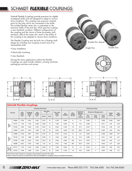# SCHMIDT *FLEXIBLE* COUPLINGS

Schmidt Flexible Couplings provide precision for slightly misaligned shafts and are designed to adapt to various drive conditions. This coupling uses precision sintered parts for the hubs which are connected to the shafts. The molded flexible center disc is preloaded on the precision shafts of the end disc which give the coupling a zero backlash condition. Different configurations of the coupling and the choice of three durometers (soft, standard, stiff) of the center disc result in the ability of this coupling to be adapted to various drive conditions.

The Flexible Coupling may be built into a floating shaft design by including one coupling at each end of an intermediate shaft.

- Easy Installation
- Electrically Insulating
- Zero Backlash

Among the many applications where the Flexible Couplings are used include collators, printing machines, packaging machines and pumps.











#### **Schmidt Flexible Couplings**

|                          |              |                            |                                                                             | <b>Coupling Dimensions</b> |                      |      |                    | Performance Data |                     |                                      |                              |                |                 |                               |                        |
|--------------------------|--------------|----------------------------|-----------------------------------------------------------------------------|----------------------------|----------------------|------|--------------------|------------------|---------------------|--------------------------------------|------------------------------|----------------|-----------------|-------------------------------|------------------------|
| Part No.                 |              | Hub<br>Diam<br>(Inch)<br>D | Coupling<br>Length<br>(Inch)<br>в                                           | Hub<br>Length              | <b>Max Bore</b><br>A |      | Flex. Disc<br>Diam | HP/              | Max.                | <b>Torsional</b><br><b>Stiffness</b> | <b>Maximum Misalignments</b> |                |                 | Inertia                       | <b>Net</b>             |
|                          |              |                            |                                                                             | (Inch)<br>K                | (Inch)               | (mm) | (Inch)             | <b>100RPM</b>    | Torque<br>$(In-Lb)$ | (In-Lbs.<br>Per<br>Degree)           | Par<br>(Inch)                | Ang<br>(Deg)   | Axial<br>(Inch) | WK <sup>2</sup><br>$(Lb-ln2)$ | Weight<br>$(L\bar{b})$ |
|                          | <b>F008A</b> | 0.750                      | 0.812                                                                       | 0.281                      | 0.375                | 10   | 0.750              | 0.009            | 6                   | 4.5                                  | 0.005                        | $\mathbf{1}$   | 0.008           | 0.004                         | 0.06                   |
| Single<br>Disc           | F011A        | 1.125                      | 1.375                                                                       | 0.500                      | 0.500                | 12   | 1.250              | 0.025            | 16                  | 14.0                                 | 0.008                        | $\mathbf{1}$   | 0.011           | 0.04                          | 0.25                   |
|                          | F019A        | 1.900                      | 2.250                                                                       | 0.750                      | 0.875                | 22   | 2.040              | 0.180            | 115                 | 91.0                                 | 0.010                        | $\mathbf{1}$   | 0.019           | 0.46                          | 1.03                   |
|                          | F028A        | 2.812                      | 2.812                                                                       | 1.000                      | 1.00                 | 25   | 2.812              | 0.500            | 315                 | 264.6                                | 0.010                        | $\mathbf{1}$   | 0.025           | 2.50                          | 2.50                   |
|                          | F008B        | 0.750                      | 0.837                                                                       | 0.281                      | 0.375                | 10   | 0.750              | 0.018            | 12                  | 9.0                                  | 0.005                        | $\mathbf{1}$   | 0.008           | 0.005                         | 0.07                   |
| Double<br>Disc           | F011B        | 1.125                      | 1.688                                                                       | 0.500                      | 0.500                | 12   | 1.250              | 0.050            | 32                  | 27.0                                 | 0.008                        | $\mathbf{1}$   | 0.011           | 0.04                          | 0.27                   |
|                          | F019B        | 1.900                      | 2.875                                                                       | 0.750                      | 0.875                | 22   | 2.040              | 0.360            | 230                 | 214.1                                | 0.010                        | $\mathbf{1}$   | 0.019           | 0.55                          | 1.12                   |
|                          | F028B        | 2.812                      | 3.375                                                                       | 1.000                      | 1.00                 | 25   | 2.812              | 1.000            | 630                 | 531.5                                | 0.010                        | $\mathbf{1}$   | 0.025           | 2.27                          | 2.80                   |
|                          | F011C        | 1.125                      | 2.125                                                                       | 0.500                      | 0.500                | 12   | 1.250              | 0.025            | 16                  | 7.0                                  | 0.016                        | $\overline{2}$ | 0.020           | 0.05                          | 0.34                   |
| Double<br>Disc<br>Spacer | F019C        | 1.900                      | 3.500                                                                       | 0.750                      | 0.875                | 22   | 2.040              | 0.180            | 115                 | 45.5                                 | 0.020                        | $\overline{2}$ | 0.035           | 0.66                          | 1.47                   |
|                          |              |                            | Performance Data is based on couplings using standard durometer flex disks. |                            |                      |      |                    |                  |                     |                                      |                              |                |                 |                               |                        |

Please contact the factory for performance data and availability of couplings using non-standard durometers.

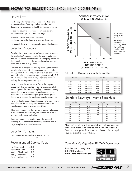### Here's how:

The basic performance ratings listed in the table are maximum values. The graph below must be used to determine the coupling's suitability in each application.

To see if a coupling is suitable for an application, see the selection procedure on this page.

When calculating torque requirements, see the service factor table provided on this page.

For special designs or requirements, consult the factory.

## Selection Procedure:

To select the proper Control-Flex® coupling size, identify the application's requirements for torque, misalignment, and service factor. Tentatively select a coupling based on these requirements. Find the selected coupling's maximum rated torque and misalignment.

Compute the misalignment ratio by dividing the required parallel misalignment by the maximum rated parallel misalignment. If either angular or axial misalignment are required, multiply the existing misalignment ratio by 1.2. If both angular and axial misalignment are required, multiply the misalignment ratio by 1.4.

Next, compute the torque ratio. Divide the required torque including service factor by the maximum rated peak torque of the selected coupling. The actual running torque should never exceed the maximum continuous rated torque. Occasional torque spikes in the system should never exceed the maximum peak torque rating.

Now that the torque and misalignment ratios are known, their effect on the coupling can be compared to the couplings operating envelope. (See Chart)

If the lines representing the two performance ratios meet to the left of the shaded area, the selected coupling is appropriate for the application.

If the lines meet in the shaded area, the selected coupling is not appropriate for the application, and a larger coupling size must be selected.

### Selection Formula:

 $HP/100$  RPM = Required HP x Service Factor x 100 RPM

### Recommended Service Factor

No Shock Load . . . . . .1.0 Light Shock Load . . . . . 1.5 Medium Shock Load . .2.0 Heavy Shock Load . . . 2.5 Reversing Shock Load .3.0

#### CONTROL FLEX® COUPLING OPERATING ENVELOPE



**Applications** falling in the shaded area are outside the couplings capability. Select the next larger coupling and repeat selection procedure.

TORQUE RATING (WITH SERVICE FACTOR APPLIED)

# Standard Keyways - Inch Bore Hubs

|       | <b>Bore Size</b> | Keyway      | <b>Bore Size</b> | Keyway |             |
|-------|------------------|-------------|------------------|--------|-------------|
| Over  | To               |             | Over             | То     |             |
| 0.437 | 0.562            | 0.125x0.062 | 2.250            | 2.750  | 0.625x0.312 |
| 0.562 | 0.875            | 0.187x0.094 | 2.750            | 3.250  | 0.750×0.375 |
| 0.875 | 1.250            | 0.250x0.125 | 3.250            | 3.750  | 0.875x0.437 |
| 1.250 | 1.375            | 0.312x0.156 | 3.750            | 4.500  | 1.000x0.500 |
| 1.375 | 1.750            | 0.375x0.187 | 4.500            | 5.500  | 1.250x0.625 |
| 1.750 | 2.250            | 0.500x0.250 | 5.500            | 6.500  | 1.500x0.750 |

### Standard Keyways - Metric Bore Hubs

|      | <b>Bore Size</b> | Keyway |      | <b>Bore Size</b> | Keyway |
|------|------------------|--------|------|------------------|--------|
| Over | To               |        | Over | To               |        |
| 10   | 12               | 4x1.8  | 58   | 65               | 18x4.4 |
| 12   | 17               | 5x2.3  | 65   | 75               | 20x4.9 |
| 17   | 22               | 6x2.8  | 75   | 85               | 22x5.4 |
| 22   | 30               | 8x3.3  | 85   | 95               | 25x5.4 |
| 30   | 38               | 10x3.3 | 95   | 110              | 28x6.4 |
| 38   | 44               | 12x3.3 | 110  | 130              | 32x7.4 |
| 44   | 50               | 14x3.8 | 130  | 150              | 36x8.4 |
| 50   | 58               | 16x4.3 | 150  | 170              | 40x9.4 |

Note: Inch bore hubs will be supplied with inch size setscrews. Metric bore hubs will be supplied with metric size setscrews. Standard keyways are for square keys. Keyways for rectangular keys are available - consult factory.

### Zero-Max *Configurable* 3D CAD Downloads

New Zero-Max Configurable 3D CAD Downloads. **www.zero-max.com/3D**